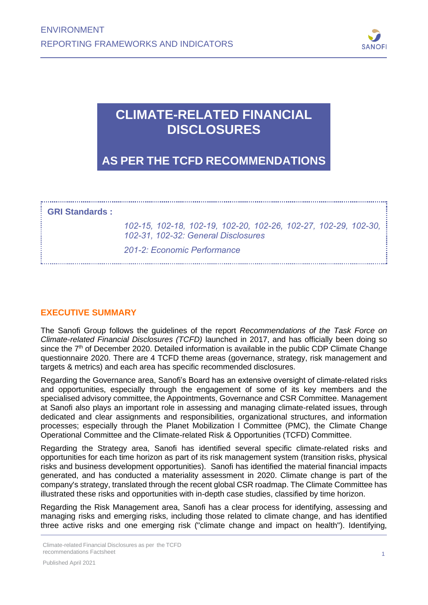

# **CLIMATE-RELATED FINANCIAL DISCLOSURES**

**AS PER THE TCFD RECOMMENDATIONS**

**GRI Standards :**

*102-15, 102-18, 102-19, 102-20, 102-26, 102-27, 102-29, 102-30, 102-31, 102-32: General Disclosures*

*201-2: Economic Performance*

# **EXECUTIVE SUMMARY**

The Sanofi Group follows the guidelines of the report *Recommendations of the Task Force on Climate-related Financial Disclosures (TCFD)* launched in 2017, and has officially been doing so since the  $7<sup>th</sup>$  of December 2020. Detailed information is available in the public CDP Climate Change questionnaire 2020. There are 4 TCFD theme areas (governance, strategy, risk management and targets & metrics) and each area has specific recommended disclosures.

Regarding the Governance area, Sanofi's Board has an extensive oversight of climate-related risks and opportunities, especially through the engagement of some of its key members and the specialised advisory committee, the Appointments, Governance and CSR Committee. Management at Sanofi also plays an important role in assessing and managing climate-related issues, through dedicated and clear assignments and responsibilities, organizational structures, and information processes; especially through the Planet Mobilization l Committee (PMC), the Climate Change Operational Committee and the Climate-related Risk & Opportunities (TCFD) Committee.

Regarding the Strategy area, Sanofi has identified several specific climate-related risks and opportunities for each time horizon as part of its risk management system (transition risks, physical risks and business development opportunities). Sanofi has identified the material financial impacts generated, and has conducted a materiality assessment in 2020. Climate change is part of the company's strategy, translated through the recent global CSR roadmap. The Climate Committee has illustrated these risks and opportunities with in-depth case studies, classified by time horizon.

Regarding the Risk Management area, Sanofi has a clear process for identifying, assessing and managing risks and emerging risks, including those related to climate change, and has identified three active risks and one emerging risk ("climate change and impact on health"). Identifying,

Climate-related Financial Disclosures as per the TCFD recommendations Factsheet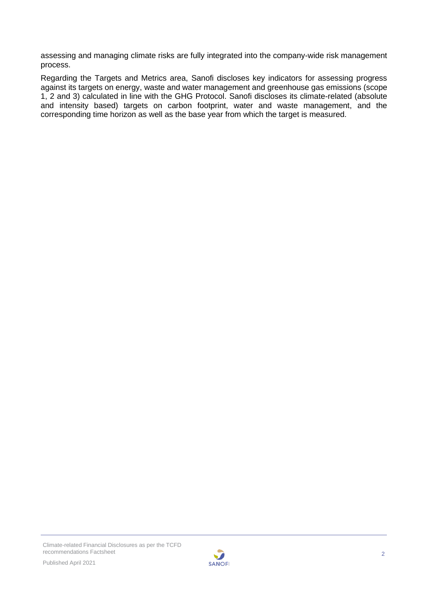assessing and managing climate risks are fully integrated into the company-wide risk management process.

Regarding the Targets and Metrics area, Sanofi discloses key indicators for assessing progress against its targets on energy, waste and water management and greenhouse gas emissions (scope 1, 2 and 3) calculated in line with the GHG Protocol. Sanofi discloses its climate-related (absolute and intensity based) targets on carbon footprint, water and waste management, and the corresponding time horizon as well as the base year from which the target is measured.

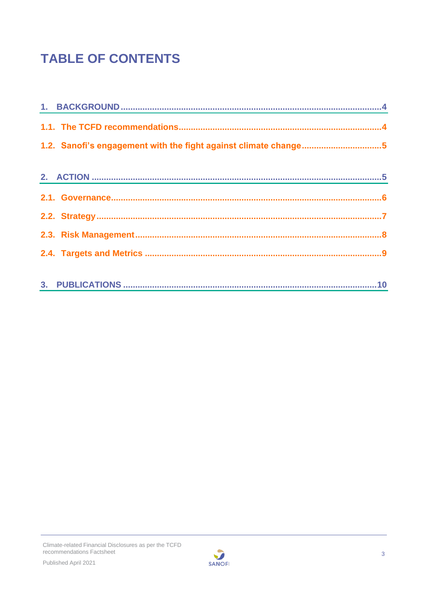# **TABLE OF CONTENTS**

| 1.2. Sanofi's engagement with the fight against climate change5 |  |
|-----------------------------------------------------------------|--|
|                                                                 |  |
|                                                                 |  |
|                                                                 |  |
|                                                                 |  |
|                                                                 |  |
|                                                                 |  |
|                                                                 |  |

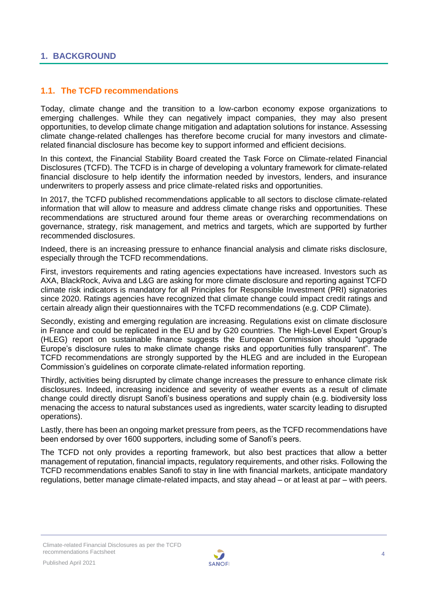## <span id="page-3-1"></span><span id="page-3-0"></span>**1.1. The TCFD recommendations**

Today, climate change and the transition to a low-carbon economy expose organizations to emerging challenges. While they can negatively impact companies, they may also present opportunities, to develop climate change mitigation and adaptation solutions for instance. Assessing climate change-related challenges has therefore become crucial for many investors and climaterelated financial disclosure has become key to support informed and efficient decisions.

In this context, the Financial Stability Board created the Task Force on Climate-related Financial Disclosures (TCFD). The TCFD is in charge of developing a voluntary framework for climate-related financial disclosure to help identify the information needed by investors, lenders, and insurance underwriters to properly assess and price climate-related risks and opportunities.

In 2017, the TCFD published recommendations applicable to all sectors to disclose climate-related information that will allow to measure and address climate change risks and opportunities. These recommendations are structured around four theme areas or overarching recommendations on governance, strategy, risk management, and metrics and targets, which are supported by further recommended disclosures.

Indeed, there is an increasing pressure to enhance financial analysis and climate risks disclosure, especially through the TCFD recommendations.

First, investors requirements and rating agencies expectations have increased. Investors such as AXA, BlackRock, Aviva and L&G are asking for more climate disclosure and reporting against TCFD climate risk indicators is mandatory for all Principles for Responsible Investment (PRI) signatories since 2020. Ratings agencies have recognized that climate change could impact credit ratings and certain already align their questionnaires with the TCFD recommendations (e.g. CDP Climate).

Secondly, existing and emerging regulation are increasing. Regulations exist on climate disclosure in France and could be replicated in the EU and by G20 countries. The High-Level Expert Group's (HLEG) report on sustainable finance suggests the European Commission should "upgrade Europe's disclosure rules to make climate change risks and opportunities fully transparent". The TCFD recommendations are strongly supported by the HLEG and are included in the European Commission's guidelines on corporate climate-related information reporting.

Thirdly, activities being disrupted by climate change increases the pressure to enhance climate risk disclosures. Indeed, increasing incidence and severity of weather events as a result of climate change could directly disrupt Sanofi's business operations and supply chain (e.g. biodiversity loss menacing the access to natural substances used as ingredients, water scarcity leading to disrupted operations).

Lastly, there has been an ongoing market pressure from peers, as the TCFD recommendations have been endorsed by over 1600 supporters, including some of Sanofi's peers.

The TCFD not only provides a reporting framework, but also best practices that allow a better management of reputation, financial impacts, regulatory requirements, and other risks. Following the TCFD recommendations enables Sanofi to stay in line with financial markets, anticipate mandatory regulations, better manage climate-related impacts, and stay ahead – or at least at par – with peers.

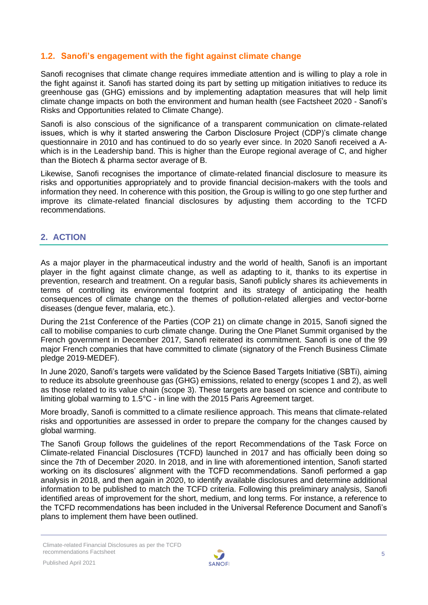# <span id="page-4-0"></span>**1.2. Sanofi's engagement with the fight against climate change**

Sanofi recognises that climate change requires immediate attention and is willing to play a role in the fight against it. Sanofi has started doing its part by setting up mitigation initiatives to reduce its greenhouse gas (GHG) emissions and by implementing adaptation measures that will help limit climate change impacts on both the environment and human health (see Factsheet 2020 - Sanofi's Risks and Opportunities related to Climate Change).

Sanofi is also conscious of the significance of a transparent communication on climate-related issues, which is why it started answering the Carbon Disclosure Project (CDP)'s climate change questionnaire in 2010 and has continued to do so yearly ever since. In 2020 Sanofi received a Awhich is in the Leadership band. This is higher than the Europe regional average of C, and higher than the Biotech & pharma sector average of B.

Likewise, Sanofi recognises the importance of climate-related financial disclosure to measure its risks and opportunities appropriately and to provide financial decision-makers with the tools and information they need. In coherence with this position, the Group is willing to go one step further and improve its climate-related financial disclosures by adjusting them according to the TCFD recommendations.

# <span id="page-4-1"></span>**2. ACTION**

As a major player in the pharmaceutical industry and the world of health, Sanofi is an important player in the fight against climate change, as well as adapting to it, thanks to its expertise in prevention, research and treatment. On a regular basis, Sanofi publicly shares its achievements in terms of controlling its environmental footprint and its strategy of anticipating the health consequences of climate change on the themes of pollution-related allergies and vector-borne diseases (dengue fever, malaria, etc.).

During the 21st Conference of the Parties (COP 21) on climate change in 2015, Sanofi signed the call to mobilise companies to curb climate change. During the One Planet Summit organised by the French government in December 2017, Sanofi reiterated its commitment. Sanofi is one of the 99 major French companies that have committed to climate (signatory of the French Business Climate pledge 2019-MEDEF).

In June 2020, Sanofi's targets were validated by the Science Based Targets Initiative (SBTi), aiming to reduce its absolute greenhouse gas (GHG) emissions, related to energy (scopes 1 and 2), as well as those related to its value chain (scope 3). These targets are based on science and contribute to limiting global warming to 1.5°C - in line with the 2015 Paris Agreement target.

More broadly, Sanofi is committed to a climate resilience approach. This means that climate-related risks and opportunities are assessed in order to prepare the company for the changes caused by global warming.

The Sanofi Group follows the guidelines of the report Recommendations of the Task Force on Climate-related Financial Disclosures (TCFD) launched in 2017 and has officially been doing so since the 7th of December 2020. In 2018, and in line with aforementioned intention, Sanofi started working on its disclosures' alignment with the TCFD recommendations. Sanofi performed a gap analysis in 2018, and then again in 2020, to identify available disclosures and determine additional information to be published to match the TCFD criteria. Following this preliminary analysis, Sanofi identified areas of improvement for the short, medium, and long terms. For instance, a reference to the TCFD recommendations has been included in the Universal Reference Document and Sanofi's plans to implement them have been outlined.

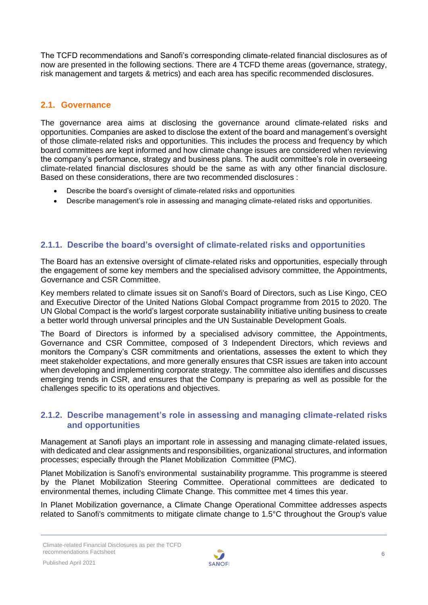The TCFD recommendations and Sanofi's corresponding climate-related financial disclosures as of now are presented in the following sections. There are 4 TCFD theme areas (governance, strategy, risk management and targets & metrics) and each area has specific recommended disclosures.

# <span id="page-5-0"></span>**2.1. Governance**

The governance area aims at disclosing the governance around climate-related risks and opportunities. Companies are asked to disclose the extent of the board and management's oversight of those climate-related risks and opportunities. This includes the process and frequency by which board committees are kept informed and how climate change issues are considered when reviewing the company's performance, strategy and business plans. The audit committee's role in overseeing climate-related financial disclosures should be the same as with any other financial disclosure. Based on these considerations, there are two recommended disclosures :

- Describe the board's oversight of climate-related risks and opportunities
- Describe management's role in assessing and managing climate-related risks and opportunities.

# **2.1.1. Describe the board's oversight of climate-related risks and opportunities**

The Board has an extensive oversight of climate-related risks and opportunities, especially through the engagement of some key members and the specialised advisory committee, the Appointments, Governance and CSR Committee.

Key members related to climate issues sit on Sanofi's Board of Directors, such as Lise Kingo, CEO and Executive Director of the United Nations Global Compact programme from 2015 to 2020. The UN Global Compact is the world's largest corporate sustainability initiative uniting business to create a better world through universal principles and the UN Sustainable Development Goals.

The Board of Directors is informed by a specialised advisory committee, the Appointments, Governance and CSR Committee, composed of 3 Independent Directors, which reviews and monitors the Company's CSR commitments and orientations, assesses the extent to which they meet stakeholder expectations, and more generally ensures that CSR issues are taken into account when developing and implementing corporate strategy. The committee also identifies and discusses emerging trends in CSR, and ensures that the Company is preparing as well as possible for the challenges specific to its operations and objectives.

#### **2.1.2. Describe management's role in assessing and managing climate-related risks and opportunities**

Management at Sanofi plays an important role in assessing and managing climate-related issues, with dedicated and clear assignments and responsibilities, organizational structures, and information processes; especially through the Planet Mobilization Committee (PMC).

Planet Mobilization is Sanofi's environmental sustainability programme. This programme is steered by the Planet Mobilization Steering Committee. Operational committees are dedicated to environmental themes, including Climate Change. This committee met 4 times this year.

In Planet Mobilization governance, a Climate Change Operational Committee addresses aspects related to Sanofi's commitments to mitigate climate change to 1.5°C throughout the Group's value

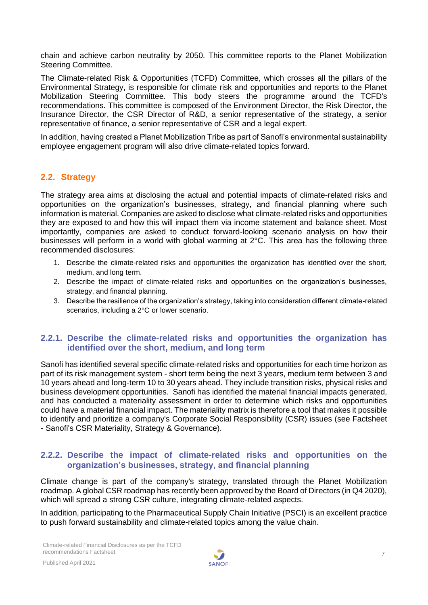chain and achieve carbon neutrality by 2050. This committee reports to the Planet Mobilization Steering Committee.

The Climate-related Risk & Opportunities (TCFD) Committee, which crosses all the pillars of the Environmental Strategy, is responsible for climate risk and opportunities and reports to the Planet Mobilization Steering Committee. This body steers the programme around the TCFD's recommendations. This committee is composed of the Environment Director, the Risk Director, the Insurance Director, the CSR Director of R&D, a senior representative of the strategy, a senior representative of finance, a senior representative of CSR and a legal expert.

In addition, having created a Planet Mobilization Tribe as part of Sanofi's environmental sustainability employee engagement program will also drive climate-related topics forward.

#### <span id="page-6-0"></span>**2.2. Strategy**

The strategy area aims at disclosing the actual and potential impacts of climate-related risks and opportunities on the organization's businesses, strategy, and financial planning where such information is material. Companies are asked to disclose what climate-related risks and opportunities they are exposed to and how this will impact them via income statement and balance sheet. Most importantly, companies are asked to conduct forward-looking scenario analysis on how their businesses will perform in a world with global warming at 2°C. This area has the following three recommended disclosures:

- 1. Describe the climate-related risks and opportunities the organization has identified over the short, medium, and long term.
- 2. Describe the impact of climate-related risks and opportunities on the organization's businesses, strategy, and financial planning.
- 3. Describe the resilience of the organization's strategy, taking into consideration different climate-related scenarios, including a 2°C or lower scenario.

#### **2.2.1. Describe the climate-related risks and opportunities the organization has identified over the short, medium, and long term**

Sanofi has identified several specific climate-related risks and opportunities for each time horizon as part of its risk management system - short term being the next 3 years, medium term between 3 and 10 years ahead and long-term 10 to 30 years ahead. They include transition risks, physical risks and business development opportunities. Sanofi has identified the material financial impacts generated, and has conducted a materiality assessment in order to determine which risks and opportunities could have a material financial impact. The materiality matrix is therefore a tool that makes it possible to identify and prioritize a company's Corporate Social Responsibility (CSR) issues (see Factsheet - Sanofi's CSR Materiality, Strategy & Governance).

#### **2.2.2. Describe the impact of climate-related risks and opportunities on the organization's businesses, strategy, and financial planning**

Climate change is part of the company's strategy, translated through the Planet Mobilization roadmap. A global CSR roadmap has recently been approved by the Board of Directors (in Q4 2020), which will spread a strong CSR culture, integrating climate-related aspects.

In addition, participating to the Pharmaceutical Supply Chain Initiative (PSCI) is an excellent practice to push forward sustainability and climate-related topics among the value chain.

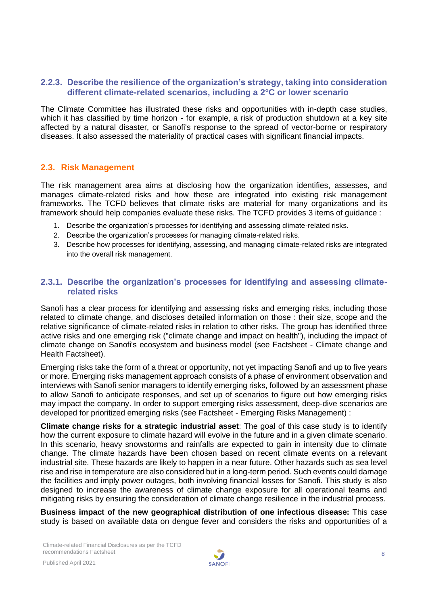#### **2.2.3. Describe the resilience of the organization's strategy, taking into consideration different climate-related scenarios, including a 2°C or lower scenario**

The Climate Committee has illustrated these risks and opportunities with in-depth case studies, which it has classified by time horizon - for example, a risk of production shutdown at a key site affected by a natural disaster, or Sanofi's response to the spread of vector-borne or respiratory diseases. It also assessed the materiality of practical cases with significant financial impacts.

#### <span id="page-7-0"></span>**2.3. Risk Management**

The risk management area aims at disclosing how the organization identifies, assesses, and manages climate-related risks and how these are integrated into existing risk management frameworks. The TCFD believes that climate risks are material for many organizations and its framework should help companies evaluate these risks. The TCFD provides 3 items of guidance :

- 1. Describe the organization's processes for identifying and assessing climate-related risks.
- 2. Describe the organization's processes for managing climate-related risks.
- 3. Describe how processes for identifying, assessing, and managing climate-related risks are integrated into the overall risk management.

#### **2.3.1. Describe the organization's processes for identifying and assessing climaterelated risks**

Sanofi has a clear process for identifying and assessing risks and emerging risks, including those related to climate change, and discloses detailed information on those : their size, scope and the relative significance of climate-related risks in relation to other risks. The group has identified three active risks and one emerging risk ("climate change and impact on health"), including the impact of climate change on Sanofi's ecosystem and business model (see Factsheet - Climate change and Health Factsheet).

Emerging risks take the form of a threat or opportunity, not yet impacting Sanofi and up to five years or more. Emerging risks management approach consists of a phase of environment observation and interviews with Sanofi senior managers to identify emerging risks, followed by an assessment phase to allow Sanofi to anticipate responses, and set up of scenarios to figure out how emerging risks may impact the company. In order to support emerging risks assessment, deep-dive scenarios are developed for prioritized emerging risks (see Factsheet - Emerging Risks Management) :

**Climate change risks for a strategic industrial asset**: The goal of this case study is to identify how the current exposure to climate hazard will evolve in the future and in a given climate scenario. In this scenario, heavy snowstorms and rainfalls are expected to gain in intensity due to climate change. The climate hazards have been chosen based on recent climate events on a relevant industrial site. These hazards are likely to happen in a near future. Other hazards such as sea level rise and rise in temperature are also considered but in a long-term period. Such events could damage the facilities and imply power outages, both involving financial losses for Sanofi. This study is also designed to increase the awareness of climate change exposure for all operational teams and mitigating risks by ensuring the consideration of climate change resilience in the industrial process.

**Business impact of the new geographical distribution of one infectious disease:** This case study is based on available data on dengue fever and considers the risks and opportunities of a

Climate-related Financial Disclosures as per the TCFD recommendations Factsheet

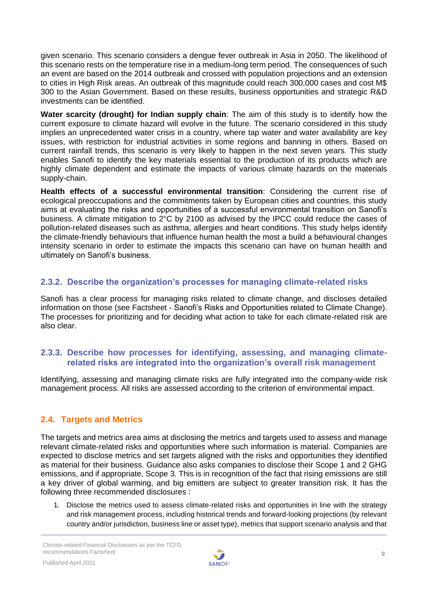given scenario. This scenario considers a dengue fever outbreak in Asia in 2050. The likelihood of this scenario rests on the temperature rise in a medium-long term period. The consequences of such an event are based on the 2014 outbreak and crossed with population projections and an extension to cities in High Risk areas. An outbreak of this magnitude could reach 300,000 cases and cost M\$ 300 to the Asian Government. Based on these results, business opportunities and strategic R&D investments can be identified.

**Water scarcity (drought) for Indian supply chain**: The aim of this study is to identify how the current exposure to climate hazard will evolve in the future. The scenario considered in this study implies an unprecedented water crisis in a country, where tap water and water availability are key issues, with restriction for industrial activities in some regions and banning in others. Based on current rainfall trends, this scenario is very likely to happen in the next seven years. This study enables Sanofi to identify the key materials essential to the production of its products which are highly climate dependent and estimate the impacts of various climate hazards on the materials supply-chain.

**Health effects of a successful environmental transition**: Considering the current rise of ecological preoccupations and the commitments taken by European cities and countries, this study aims at evaluating the risks and opportunities of a successful environmental transition on Sanofi's business. A climate mitigation to 2°C by 2100 as advised by the IPCC could reduce the cases of pollution-related diseases such as asthma, allergies and heart conditions. This study helps identify the climate-friendly behaviours that influence human health the most a build a behavioural changes intensity scenario in order to estimate the impacts this scenario can have on human health and ultimately on Sanofi's business.

# **2.3.2. Describe the organization's processes for managing climate-related risks**

Sanofi has a clear process for managing risks related to climate change, and discloses detailed information on those (see Factsheet - Sanofi's Risks and Opportunities related to Climate Change). The processes for prioritizing and for deciding what action to take for each climate-related risk are also clear.

## **2.3.3. Describe how processes for identifying, assessing, and managing climaterelated risks are integrated into the organization's overall risk management**

Identifying, assessing and managing climate risks are fully integrated into the company-wide risk management process. All risks are assessed according to the criterion of environmental impact.

# <span id="page-8-0"></span>**2.4. Targets and Metrics**

The targets and metrics area aims at disclosing the metrics and targets used to assess and manage relevant climate-related risks and opportunities where such information is material. Companies are expected to disclose metrics and set targets aligned with the risks and opportunities they identified as material for their business. Guidance also asks companies to disclose their Scope 1 and 2 GHG emissions, and if appropriate, Scope 3. This is in recognition of the fact that rising emissions are still a key driver of global warming, and big emitters are subject to greater transition risk. It has the following three recommended disclosures :

1. Disclose the metrics used to assess climate-related risks and opportunities in line with the strategy and risk management process, including historical trends and forward-looking projections (by relevant country and/or jurisdiction, business line or asset type), metrics that support scenario analysis and that

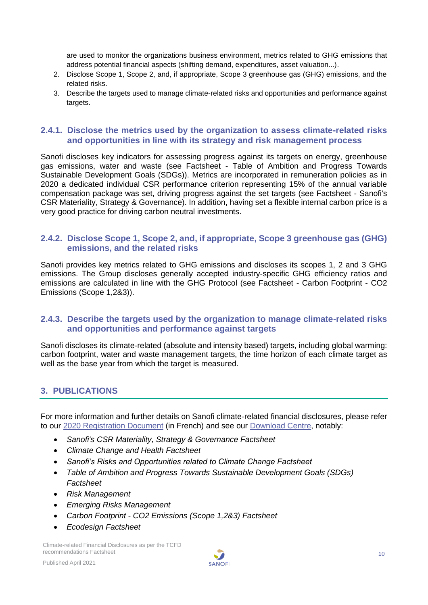are used to monitor the organizations business environment, metrics related to GHG emissions that address potential financial aspects (shifting demand, expenditures, asset valuation...).

- 2. Disclose Scope 1, Scope 2, and, if appropriate, Scope 3 greenhouse gas (GHG) emissions, and the related risks.
- 3. Describe the targets used to manage climate-related risks and opportunities and performance against targets.

#### **2.4.1. Disclose the metrics used by the organization to assess climate-related risks and opportunities in line with its strategy and risk management process**

Sanofi discloses key indicators for assessing progress against its targets on energy, greenhouse gas emissions, water and waste (see Factsheet - Table of Ambition and Progress Towards Sustainable Development Goals (SDGs)). Metrics are incorporated in remuneration policies as in 2020 a dedicated individual CSR performance criterion representing 15% of the annual variable compensation package was set, driving progress against the set targets (see Factsheet - Sanofi's CSR Materiality, Strategy & Governance). In addition, having set a flexible internal carbon price is a very good practice for driving carbon neutral investments.

#### **2.4.2. Disclose Scope 1, Scope 2, and, if appropriate, Scope 3 greenhouse gas (GHG) emissions, and the related risks**

Sanofi provides key metrics related to GHG emissions and discloses its scopes 1, 2 and 3 GHG emissions. The Group discloses generally accepted industry-specific GHG efficiency ratios and emissions are calculated in line with the GHG Protocol (see Factsheet - Carbon Footprint - CO2 Emissions (Scope 1,2&3)).

#### **2.4.3. Describe the targets used by the organization to manage climate-related risks and opportunities and performance against targets**

Sanofi discloses its climate-related (absolute and intensity based) targets, including global warming: carbon footprint, water and waste management targets, the time horizon of each climate target as well as the base year from which the target is measured.

# <span id="page-9-0"></span>**3. PUBLICATIONS**

For more information and further details on Sanofi climate-related financial disclosures, please refer to our 2020 [Registration Document](https://www.sanofi.com/-/media/Project/One-Sanofi-Web/Websites/Global/Sanofi-COM/Home/common/docs/investors/2021_03_23_Sanofi_UDR_FINAL_Acc.pdf?la=en&hash=20733E0A37CCAF2C6AD672C0C058266A) (in French) and see our [Download Centre,](http://en.sanofi.com/csr/download_center/download_center.aspx) notably:

- *Sanofi's CSR Materiality, Strategy & Governance Factsheet*
- *Climate Change and Health Factsheet*
- *Sanofi's Risks and Opportunities related to Climate Change Factsheet*
- *Table of Ambition and Progress Towards Sustainable Development Goals (SDGs) Factsheet*
- *Risk Management*
- *Emerging Risks Management*
- *Carbon Footprint - CO2 Emissions (Scope 1,2&3) Factsheet*
- *Ecodesign Factsheet*

Climate-related Financial Disclosures as per the TCFD recommendations Factsheet